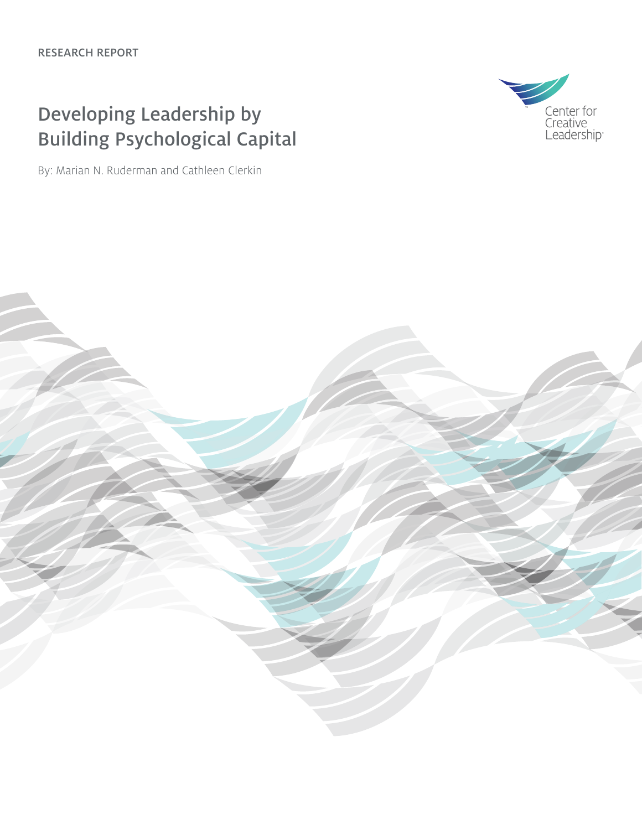## Developing Leadership by Building Psychological Capital

By: Marian N. Ruderman and Cathleen Clerkin



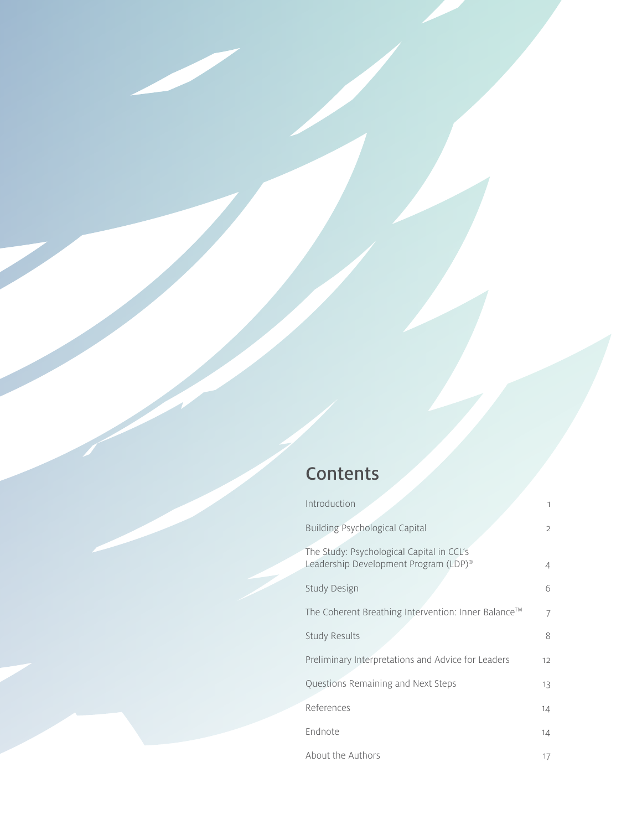## **Contents**

| Introduction                                                                                   |                |
|------------------------------------------------------------------------------------------------|----------------|
| Building Psychological Capital                                                                 | $\mathfrak{D}$ |
| The Study: Psychological Capital in CCL's<br>Leadership Development Program (LDP) <sup>®</sup> | 4              |
| Study Design                                                                                   | 6              |
| The Coherent Breathing Intervention: Inner Balance™                                            | 7              |
| Study Results                                                                                  | 8              |
| Preliminary Interpretations and Advice for Leaders                                             | 12             |
| Questions Remaining and Next Steps                                                             | 13             |
| References                                                                                     | 14             |
| Endnote                                                                                        | 14             |
| About the Authors                                                                              | 17             |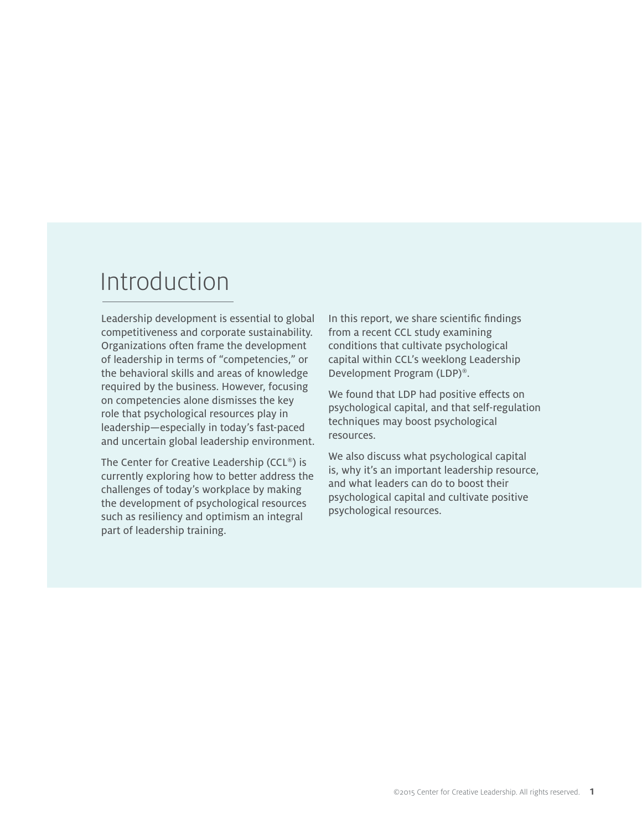## Introduction

Leadership development is essential to global competitiveness and corporate sustainability. Organizations often frame the development of leadership in terms of "competencies," or the behavioral skills and areas of knowledge required by the business. However, focusing on competencies alone dismisses the key role that psychological resources play in leadership—especially in today's fast-paced and uncertain global leadership environment.

The Center for Creative Leadership (CCL®) is currently exploring how to better address the challenges of today's workplace by making the development of psychological resources such as resiliency and optimism an integral part of leadership training.

In this report, we share scientific findings from a recent CCL study examining conditions that cultivate psychological capital within CCL's weeklong Leadership Development Program (LDP)®.

We found that LDP had positive effects on psychological capital, and that self-regulation techniques may boost psychological resources.

We also discuss what psychological capital is, why it's an important leadership resource, and what leaders can do to boost their psychological capital and cultivate positive psychological resources.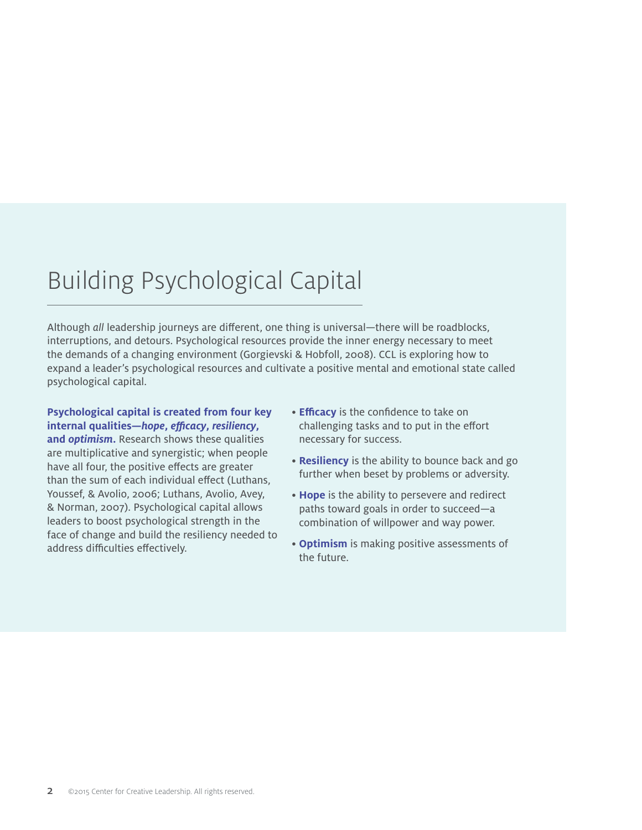# Building Psychological Capital

Although *all* leadership journeys are different, one thing is universal—there will be roadblocks, interruptions, and detours. Psychological resources provide the inner energy necessary to meet the demands of a changing environment (Gorgievski & Hobfoll, 2008). CCL is exploring how to expand a leader's psychological resources and cultivate a positive mental and emotional state called psychological capital.

### **Psychological capital is created from four key internal qualities—***hope***,** *efficacy***,** *resiliency***,**

**and** *optimism***.** Research shows these qualities are multiplicative and synergistic; when people have all four, the positive effects are greater than the sum of each individual effect (Luthans, Youssef, & Avolio, 2006; Luthans, Avolio, Avey, & Norman, 2007). Psychological capital allows leaders to boost psychological strength in the face of change and build the resiliency needed to address difficulties effectively.

- **Efficacy** is the confidence to take on challenging tasks and to put in the effort necessary for success.
- **Resiliency** is the ability to bounce back and go further when beset by problems or adversity.
- **Hope** is the ability to persevere and redirect paths toward goals in order to succeed—a combination of willpower and way power.
- **Optimism** is making positive assessments of the future.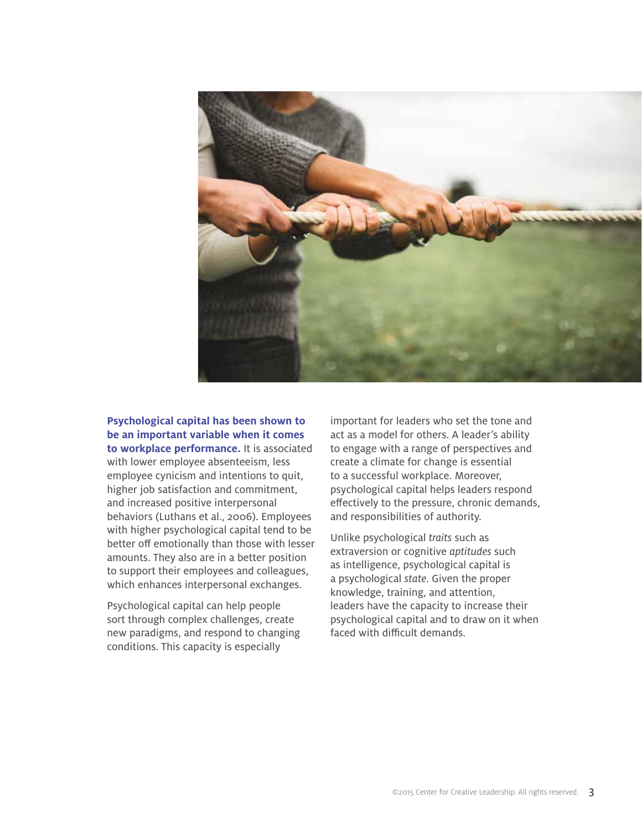

**Psychological capital has been shown to be an important variable when it comes to workplace performance.** It is associated with lower employee absenteeism, less employee cynicism and intentions to quit, higher job satisfaction and commitment, and increased positive interpersonal behaviors (Luthans et al., 2006). Employees with higher psychological capital tend to be better off emotionally than those with lesser amounts. They also are in a better position to support their employees and colleagues, which enhances interpersonal exchanges.

Psychological capital can help people sort through complex challenges, create new paradigms, and respond to changing conditions. This capacity is especially

important for leaders who set the tone and act as a model for others. A leader's ability to engage with a range of perspectives and create a climate for change is essential to a successful workplace. Moreover, psychological capital helps leaders respond effectively to the pressure, chronic demands, and responsibilities of authority.

Unlike psychological *traits* such as extraversion or cognitive *aptitudes* such as intelligence, psychological capital is a psychological *state*. Given the proper knowledge, training, and attention, leaders have the capacity to increase their psychological capital and to draw on it when faced with difficult demands.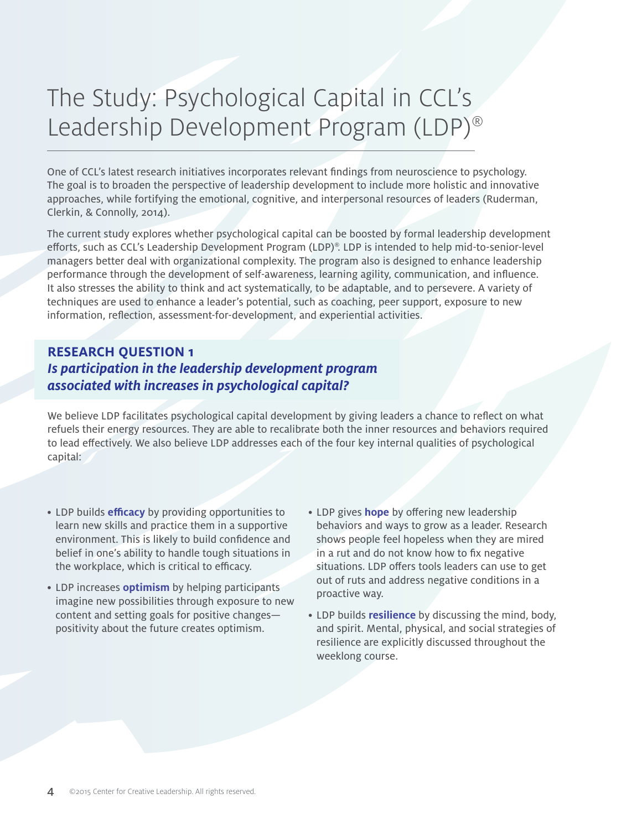# The Study: Psychological Capital in CCL's Leadership Development Program (LDP)®

One of CCL's latest research initiatives incorporates relevant findings from neuroscience to psychology. The goal is to broaden the perspective of leadership development to include more holistic and innovative approaches, while fortifying the emotional, cognitive, and interpersonal resources of leaders (Ruderman, Clerkin, & Connolly, 2014).

The current study explores whether psychological capital can be boosted by formal leadership development efforts, such as CCL's Leadership Development Program (LDP)® . LDP is intended to help mid-to-senior-level managers better deal with organizational complexity. The program also is designed to enhance leadership performance through the development of self-awareness, learning agility, communication, and influence. It also stresses the ability to think and act systematically, to be adaptable, and to persevere. A variety of techniques are used to enhance a leader's potential, such as coaching, peer support, exposure to new information, reflection, assessment-for-development, and experiential activities.

## **RESEARCH QUESTION 1** *Is participation in the leadership development program associated with increases in psychological capital?*

We believe LDP facilitates psychological capital development by giving leaders a chance to reflect on what refuels their energy resources. They are able to recalibrate both the inner resources and behaviors required to lead effectively. We also believe LDP addresses each of the four key internal qualities of psychological capital:

- LDP builds **efficacy** by providing opportunities to learn new skills and practice them in a supportive environment. This is likely to build confidence and belief in one's ability to handle tough situations in the workplace, which is critical to efficacy.
- LDP increases **optimism** by helping participants imagine new possibilities through exposure to new content and setting goals for positive changes positivity about the future creates optimism.
- LDP gives **hope** by offering new leadership behaviors and ways to grow as a leader. Research shows people feel hopeless when they are mired in a rut and do not know how to fix negative situations. LDP offers tools leaders can use to get out of ruts and address negative conditions in a proactive way.
- LDP builds **resilience** by discussing the mind, body, and spirit. Mental, physical, and social strategies of resilience are explicitly discussed throughout the weeklong course.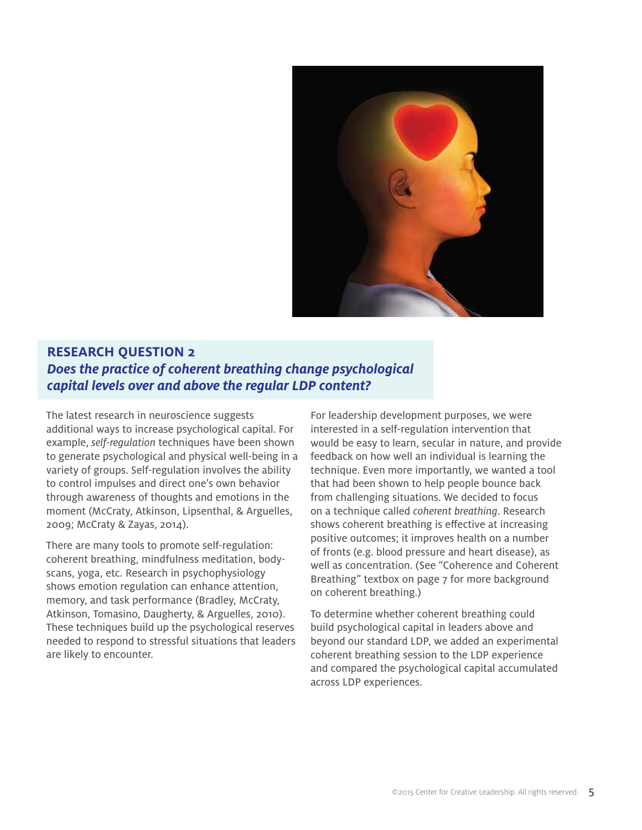

## **RESEARCH QUESTION 2** *Does the practice of coherent breathing change psychological capital levels over and above the regular LDP content?*

The latest research in neuroscience suggests additional ways to increase psychological capital. For example, *self-regulation* techniques have been shown to generate psychological and physical well-being in a variety of groups. Self-regulation involves the ability to control impulses and direct one's own behavior through awareness of thoughts and emotions in the moment (McCraty, Atkinson, Lipsenthal, & Arguelles, 2009; McCraty & Zayas, 2014).

There are many tools to promote self-regulation: coherent breathing, mindfulness meditation, bodyscans, yoga, etc. Research in psychophysiology shows emotion regulation can enhance attention, memory, and task performance (Bradley, McCraty, Atkinson, Tomasino, Daugherty, & Arguelles, 2010). These techniques build up the psychological reserves needed to respond to stressful situations that leaders are likely to encounter.

For leadership development purposes, we were interested in a self-regulation intervention that would be easy to learn, secular in nature, and provide feedback on how well an individual is learning the technique. Even more importantly, we wanted a tool that had been shown to help people bounce back from challenging situations. We decided to focus on a technique called *coherent breathing*. Research shows coherent breathing is effective at increasing positive outcomes; it improves health on a number of fronts (e.g. blood pressure and heart disease), as well as concentration. (See "Coherence and Coherent Breathing" textbox on page 7 for more background on coherent breathing.)

To determine whether coherent breathing could build psychological capital in leaders above and beyond our standard LDP, we added an experimental coherent breathing session to the LDP experience and compared the psychological capital accumulated across LDP experiences.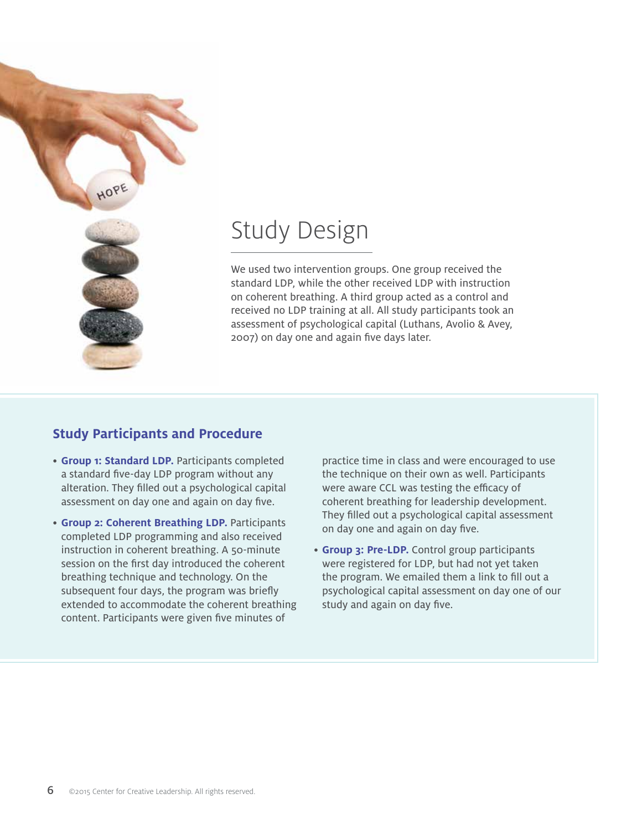

## Study Design

We used two intervention groups. One group received the standard LDP, while the other received LDP with instruction on coherent breathing. A third group acted as a control and received no LDP training at all. All study participants took an assessment of psychological capital (Luthans, Avolio & Avey, 2007) on day one and again five days later.

### **Study Participants and Procedure**

- **Group 1: Standard LDP.** Participants completed a standard five-day LDP program without any alteration. They filled out a psychological capital assessment on day one and again on day five.
- **Group 2: Coherent Breathing LDP.** Participants completed LDP programming and also received instruction in coherent breathing. A 50-minute session on the first day introduced the coherent breathing technique and technology. On the subsequent four days, the program was briefly extended to accommodate the coherent breathing content. Participants were given five minutes of

practice time in class and were encouraged to use the technique on their own as well. Participants were aware CCL was testing the efficacy of coherent breathing for leadership development. They filled out a psychological capital assessment on day one and again on day five.

• **Group 3: Pre-LDP.** Control group participants were registered for LDP, but had not yet taken the program. We emailed them a link to fill out a psychological capital assessment on day one of our study and again on day five.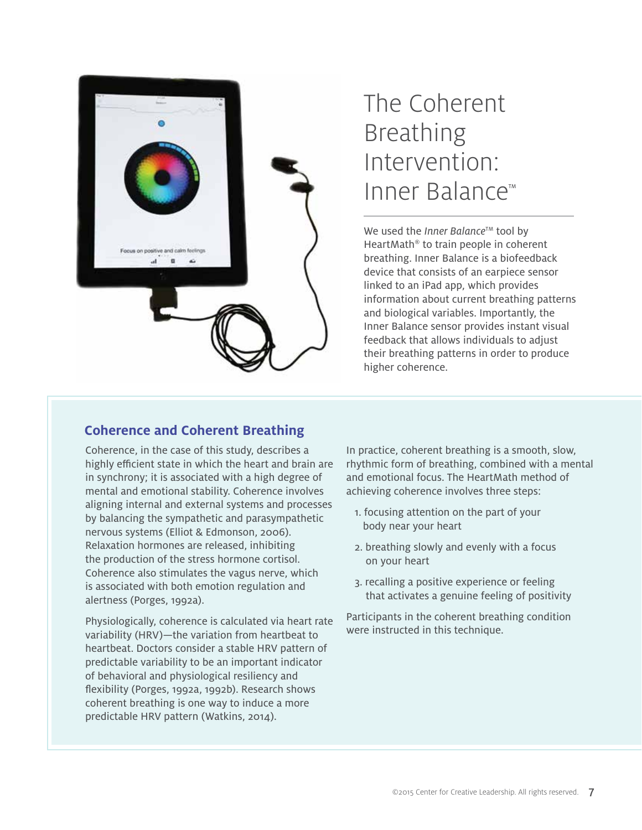

# The Coherent Breathing Intervention: Inner Balance<sup>™</sup>

We used the *Inner Balance*™ tool by HeartMath® to train people in coherent breathing. Inner Balance is a biofeedback device that consists of an earpiece sensor linked to an iPad app, which provides information about current breathing patterns and biological variables. Importantly, the Inner Balance sensor provides instant visual feedback that allows individuals to adjust their breathing patterns in order to produce higher coherence.

### **Coherence and Coherent Breathing**

Coherence, in the case of this study, describes a highly efficient state in which the heart and brain are in synchrony; it is associated with a high degree of mental and emotional stability. Coherence involves aligning internal and external systems and processes by balancing the sympathetic and parasympathetic nervous systems (Elliot & Edmonson, 2006). Relaxation hormones are released, inhibiting the production of the stress hormone cortisol. Coherence also stimulates the vagus nerve, which is associated with both emotion regulation and alertness (Porges, 1992a).

Physiologically, coherence is calculated via heart rate variability (HRV)—the variation from heartbeat to heartbeat. Doctors consider a stable HRV pattern of predictable variability to be an important indicator of behavioral and physiological resiliency and flexibility (Porges, 1992a, 1992b). Research shows coherent breathing is one way to induce a more predictable HRV pattern (Watkins, 2014).

In practice, coherent breathing is a smooth, slow, rhythmic form of breathing, combined with a mental and emotional focus. The HeartMath method of achieving coherence involves three steps:

- 1. focusing attention on the part of your body near your heart
- 2. breathing slowly and evenly with a focus on your heart
- 3. recalling a positive experience or feeling that activates a genuine feeling of positivity

Participants in the coherent breathing condition were instructed in this technique.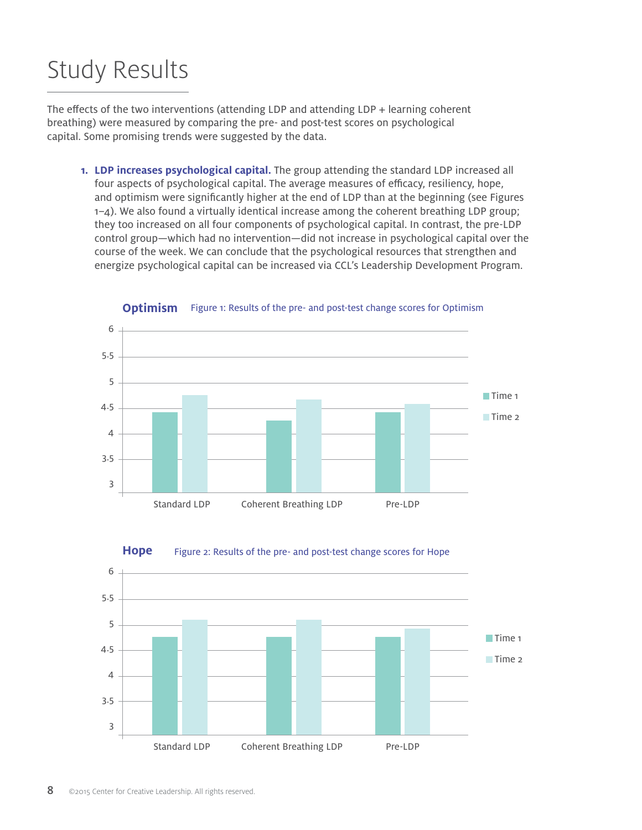# Study Results

The effects of the two interventions (attending LDP and attending LDP + learning coherent breathing) were measured by comparing the pre- and post-test scores on psychological capital. Some promising trends were suggested by the data.

**1. LDP increases psychological capital.** The group attending the standard LDP increased all four aspects of psychological capital. The average measures of efficacy, resiliency, hope, and optimism were significantly higher at the end of LDP than at the beginning (see Figures 1–4). We also found a virtually identical increase among the coherent breathing LDP group; they too increased on all four components of psychological capital. In contrast, the pre-LDP control group—which had no intervention—did not increase in psychological capital over the course of the week. We can conclude that the psychological resources that strengthen and energize psychological capital can be increased via CCL's Leadership Development Program.



**Optimism** Figure 1: Results of the pre- and post-test change scores for Optimism



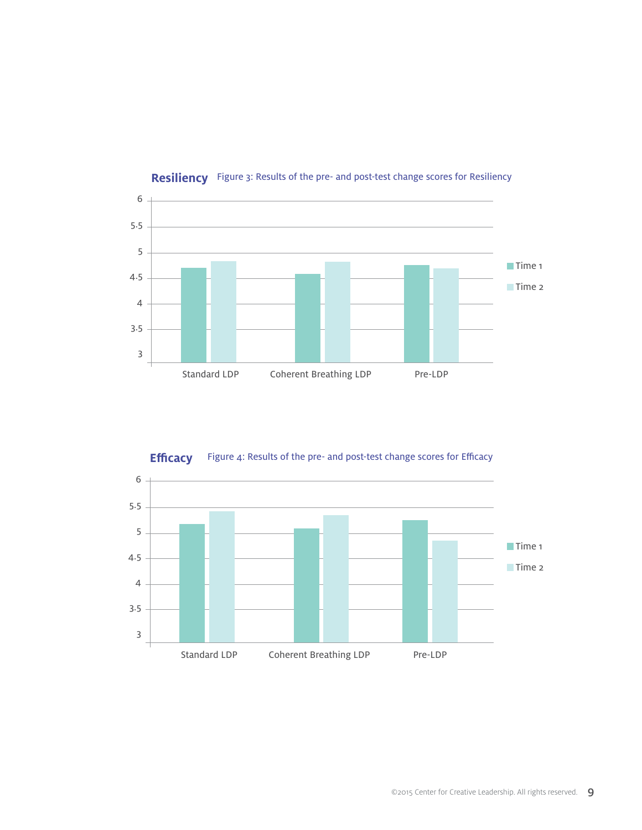

**Resiliency** Figure 3: Results of the pre- and post-test change scores for Resiliency

**Efficacy** Figure 4: Results of the pre- and post-test change scores for Efficacy

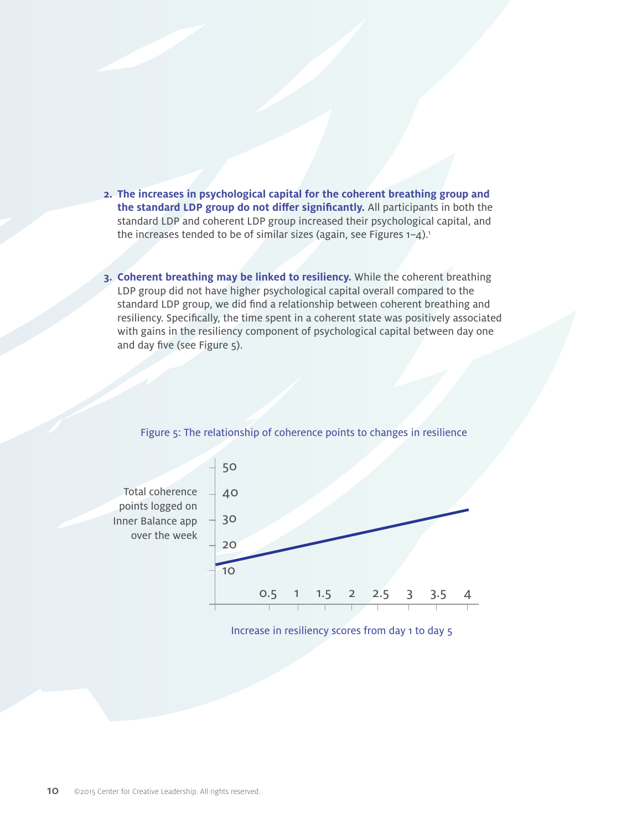- **2. The increases in psychological capital for the coherent breathing group and the standard LDP group do not differ significantly.** All participants in both the standard LDP and coherent LDP group increased their psychological capital, and the increases tended to be of similar sizes (again, see Figures  $1-4$ ).<sup>1</sup>
- **3. Coherent breathing may be linked to resiliency.** While the coherent breathing LDP group did not have higher psychological capital overall compared to the standard LDP group, we did find a relationship between coherent breathing and resiliency. Specifically, the time spent in a coherent state was positively associated with gains in the resiliency component of psychological capital between day one and day five (see Figure 5).



#### Figure 5: The relationship of coherence points to changes in resilience

Increase in resiliency scores from day 1 to day 5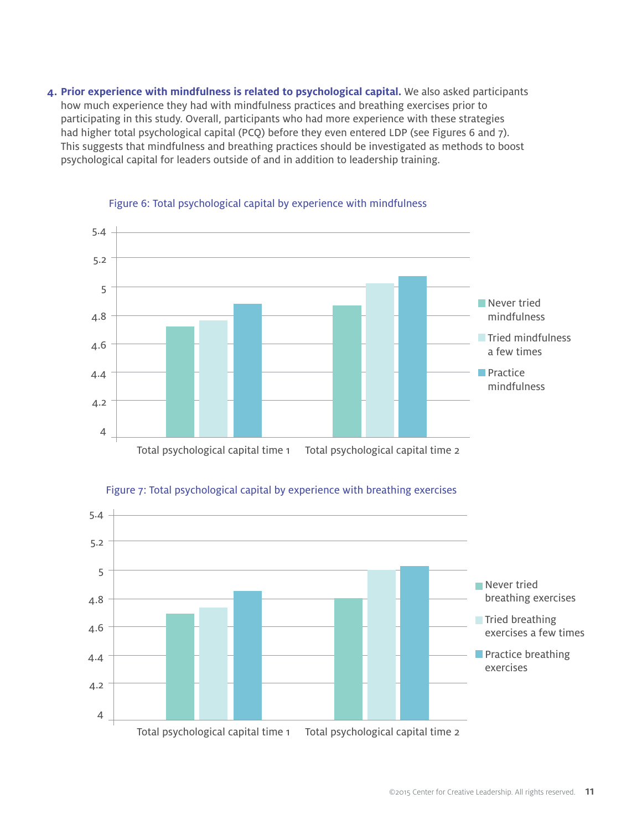**4. Prior experience with mindfulness is related to psychological capital.** We also asked participants how much experience they had with mindfulness practices and breathing exercises prior to participating in this study. Overall, participants who had more experience with these strategies had higher total psychological capital (PCQ) before they even entered LDP (see Figures 6 and 7). This suggests that mindfulness and breathing practices should be investigated as methods to boost psychological capital for leaders outside of and in addition to leadership training.



#### Figure 6: Total psychological capital by experience with mindfulness



### Figure 7: Total psychological capital by experience with breathing exercises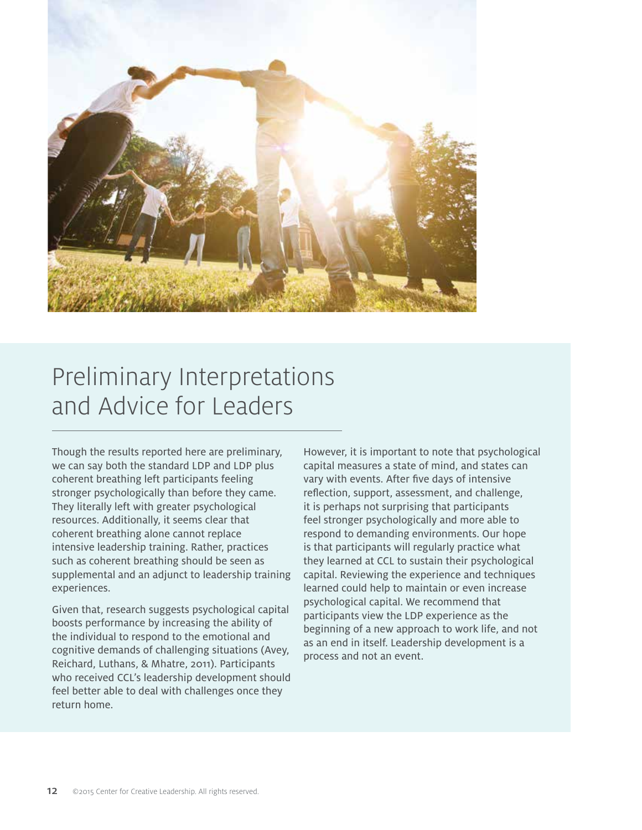

# Preliminary Interpretations and Advice for Leaders

Though the results reported here are preliminary, we can say both the standard LDP and LDP plus coherent breathing left participants feeling stronger psychologically than before they came. They literally left with greater psychological resources. Additionally, it seems clear that coherent breathing alone cannot replace intensive leadership training. Rather, practices such as coherent breathing should be seen as supplemental and an adjunct to leadership training experiences.

Given that, research suggests psychological capital boosts performance by increasing the ability of the individual to respond to the emotional and cognitive demands of challenging situations (Avey, Reichard, Luthans, & Mhatre, 2011). Participants who received CCL's leadership development should feel better able to deal with challenges once they return home.

However, it is important to note that psychological capital measures a state of mind, and states can vary with events. After five days of intensive reflection, support, assessment, and challenge, it is perhaps not surprising that participants feel stronger psychologically and more able to respond to demanding environments. Our hope is that participants will regularly practice what they learned at CCL to sustain their psychological capital. Reviewing the experience and techniques learned could help to maintain or even increase psychological capital. We recommend that participants view the LDP experience as the beginning of a new approach to work life, and not as an end in itself. Leadership development is a process and not an event.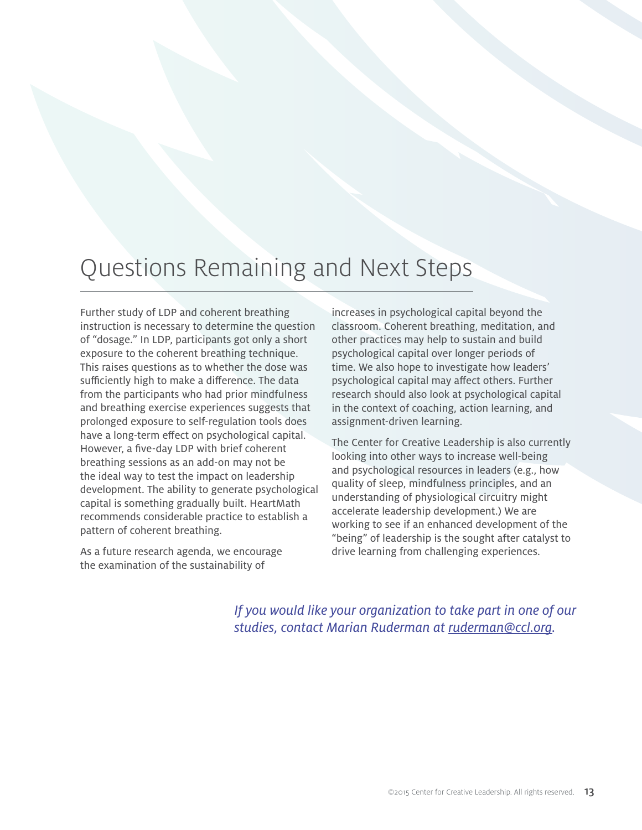# Questions Remaining and Next Steps

Further study of LDP and coherent breathing instruction is necessary to determine the question of "dosage." In LDP, participants got only a short exposure to the coherent breathing technique. This raises questions as to whether the dose was sufficiently high to make a difference. The data from the participants who had prior mindfulness and breathing exercise experiences suggests that prolonged exposure to self-regulation tools does have a long-term effect on psychological capital. However, a five-day LDP with brief coherent breathing sessions as an add-on may not be the ideal way to test the impact on leadership development. The ability to generate psychological capital is something gradually built. HeartMath recommends considerable practice to establish a pattern of coherent breathing.

As a future research agenda, we encourage the examination of the sustainability of

increases in psychological capital beyond the classroom. Coherent breathing, meditation, and other practices may help to sustain and build psychological capital over longer periods of time. We also hope to investigate how leaders' psychological capital may affect others. Further research should also look at psychological capital in the context of coaching, action learning, and assignment-driven learning.

The Center for Creative Leadership is also currently looking into other ways to increase well-being and psychological resources in leaders (e.g., how quality of sleep, mindfulness principles, and an understanding of physiological circuitry might accelerate leadership development.) We are working to see if an enhanced development of the "being" of leadership is the sought after catalyst to drive learning from challenging experiences.

*If you would like your organization to take part in one of our studies, contact Marian Ruderman at [ruderman@ccl.org.](mailto:ruderman%40ccl.org?subject=)*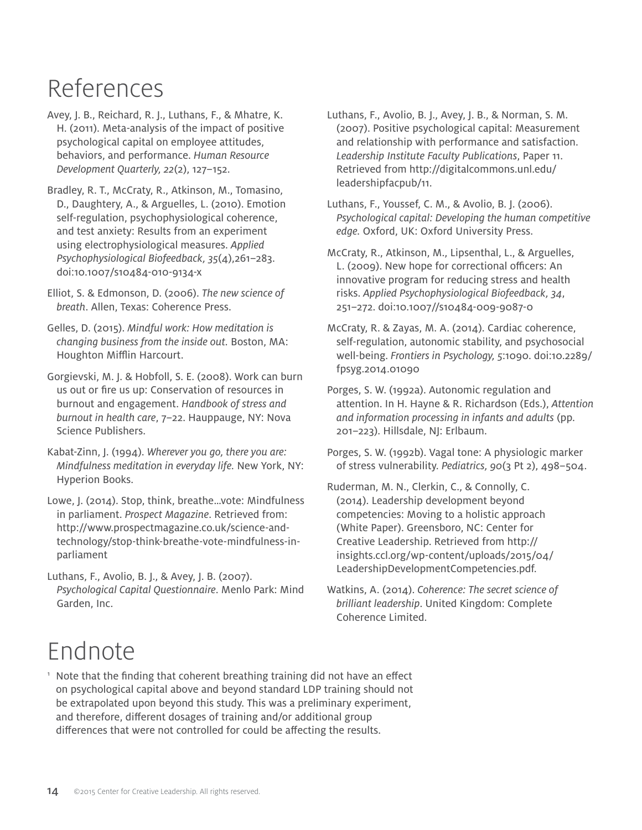# References

- Avey, J. B., Reichard, R. J., Luthans, F., & Mhatre, K. H. (2011). Meta-analysis of the impact of positive psychological capital on employee attitudes, behaviors, and performance. *Human Resource Development Quarterly, 22*(2), 127–152.
- Bradley, R. T., McCraty, R., Atkinson, M., Tomasino, D., Daughtery, A., & Arguelles, L. (2010). Emotion self-regulation, psychophysiological coherence, and test anxiety: Results from an experiment using electrophysiological measures. *Applied Psychophysiological Biofeedback, 35*(4),261–283. doi:10.1007/s10484-010-9134-x
- Elliot, S. & Edmonson, D. (2006). *The new science of breath*. Allen, Texas: Coherence Press.
- Gelles, D. (2015). *Mindful work: How meditation is changing business from the inside out.* Boston, MA: Houghton Mifflin Harcourt.
- Gorgievski, M. J. & Hobfoll, S. E. (2008). Work can burn us out or fire us up: Conservation of resources in burnout and engagement. *Handbook of stress and burnout in health care*, 7–22. Hauppauge, NY: Nova Science Publishers.
- Kabat-Zinn, J. (1994). *Wherever you go, there you are: Mindfulness meditation in everyday life.* New York, NY: Hyperion Books.
- Lowe, J. (2014). Stop, think, breathe…vote: Mindfulness in parliament. *Prospect Magazine*. Retrieved from: http://www.prospectmagazine.co.uk/science-andtechnology/stop-think-breathe-vote-mindfulness-inparliament
- Luthans, F., Avolio, B. J., & Avey, J. B. (2007). *Psychological Capital Questionnaire*. Menlo Park: Mind Garden, Inc.
- Luthans, F., Avolio, B. J., Avey, J. B., & Norman, S. M. (2007). Positive psychological capital: Measurement and relationship with performance and satisfaction. *Leadership Institute Faculty Publications*, Paper 11. Retrieved from http://digitalcommons.unl.edu/ leadershipfacpub/11.
- Luthans, F., Youssef, C. M., & Avolio, B. J. (2006). *Psychological capital: Developing the human competitive edge.* Oxford, UK: Oxford University Press.
- McCraty, R., Atkinson, M., Lipsenthal, L., & Arguelles, L. (2009). New hope for correctional officers: An innovative program for reducing stress and health risks. *Applied Psychophysiological Biofeedback, 34*, 251–272. doi:10.1007//s10484-009-9087-0
- McCraty, R. & Zayas, M. A. (2014). Cardiac coherence, self-regulation, autonomic stability, and psychosocial well-being. *Frontiers in Psychology, 5*:1090. doi:10.2289/ fpsyg.2014.01090
- Porges, S. W. (1992a). Autonomic regulation and attention. In H. Hayne & R. Richardson (Eds.), *Attention and information processing in infants and adults* (pp. 201–223). Hillsdale, NJ: Erlbaum.
- Porges, S. W. (1992b). Vagal tone: A physiologic marker of stress vulnerability. *Pediatrics, 90*(3 Pt 2), 498–504.
- Ruderman, M. N., Clerkin, C., & Connolly, C. (2014). Leadership development beyond competencies: Moving to a holistic approach (White Paper). Greensboro, NC: Center for Creative Leadership. Retrieved from http:// insights.ccl.org/wp-content/uploads/2015/04/ LeadershipDevelopmentCompetencies.pdf.
- Watkins, A. (2014). *Coherence: The secret science of brilliant leadership*. United Kingdom: Complete Coherence Limited.

## Endnote

<sup>1</sup> Note that the finding that coherent breathing training did not have an effect on psychological capital above and beyond standard LDP training should not be extrapolated upon beyond this study. This was a preliminary experiment, and therefore, different dosages of training and/or additional group differences that were not controlled for could be affecting the results.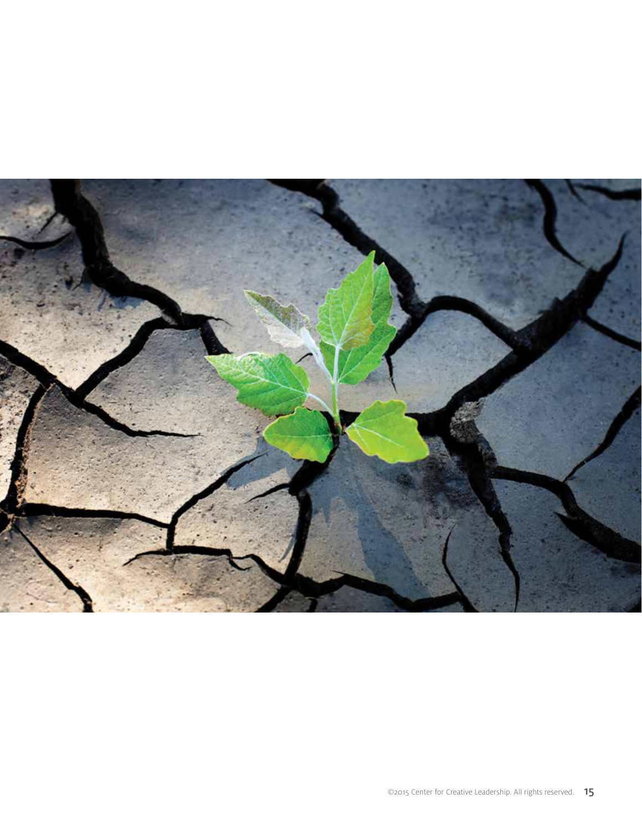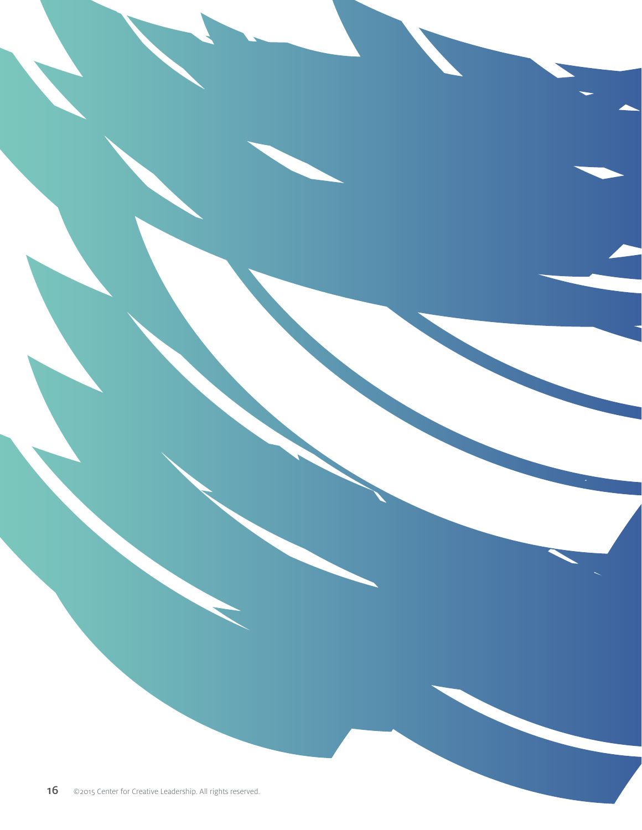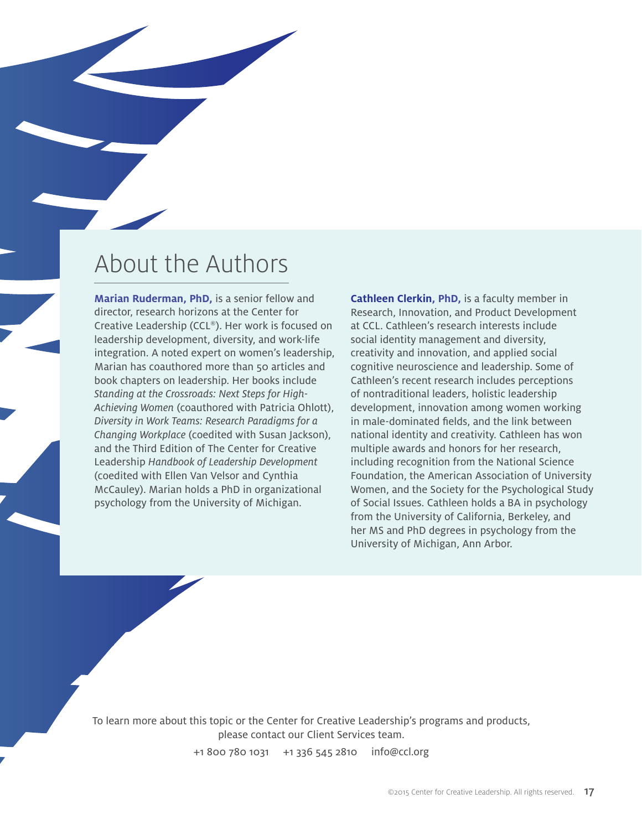# About the Authors

**Marian Ruderman, PhD,** is a senior fellow and director, research horizons at the Center for Creative Leadership (CCL®). Her work is focused on leadership development, diversity, and work-life integration. A noted expert on women's leadership, Marian has coauthored more than 50 articles and book chapters on leadership. Her books include *Standing at the Crossroads: Next Steps for High-Achieving Women* (coauthored with Patricia Ohlott), *Diversity in Work Teams: Research Paradigms for a Changing Workplace* (coedited with Susan Jackson), and the Third Edition of The Center for Creative Leadership *Handbook of Leadership Development* (coedited with Ellen Van Velsor and Cynthia McCauley). Marian holds a PhD in organizational psychology from the University of Michigan.

**Cathleen Clerkin, PhD,** is a faculty member in Research, Innovation, and Product Development at CCL. Cathleen's research interests include social identity management and diversity, creativity and innovation, and applied social cognitive neuroscience and leadership. Some of Cathleen's recent research includes perceptions of nontraditional leaders, holistic leadership development, innovation among women working in male-dominated fields, and the link between national identity and creativity. Cathleen has won multiple awards and honors for her research, including recognition from the National Science Foundation, the American Association of University Women, and the Society for the Psychological Study of Social Issues. Cathleen holds a BA in psychology from the University of California, Berkeley, and her MS and PhD degrees in psychology from the University of Michigan, Ann Arbor.

To learn more about this topic or the Center for Creative Leadership's programs and products, please contact our Client Services team.

+1 800 780 1031 +1 336 545 2810  [info@ccl.org](mailto:info%40ccl.org?subject=A%20Request%20for%20More%20Information)